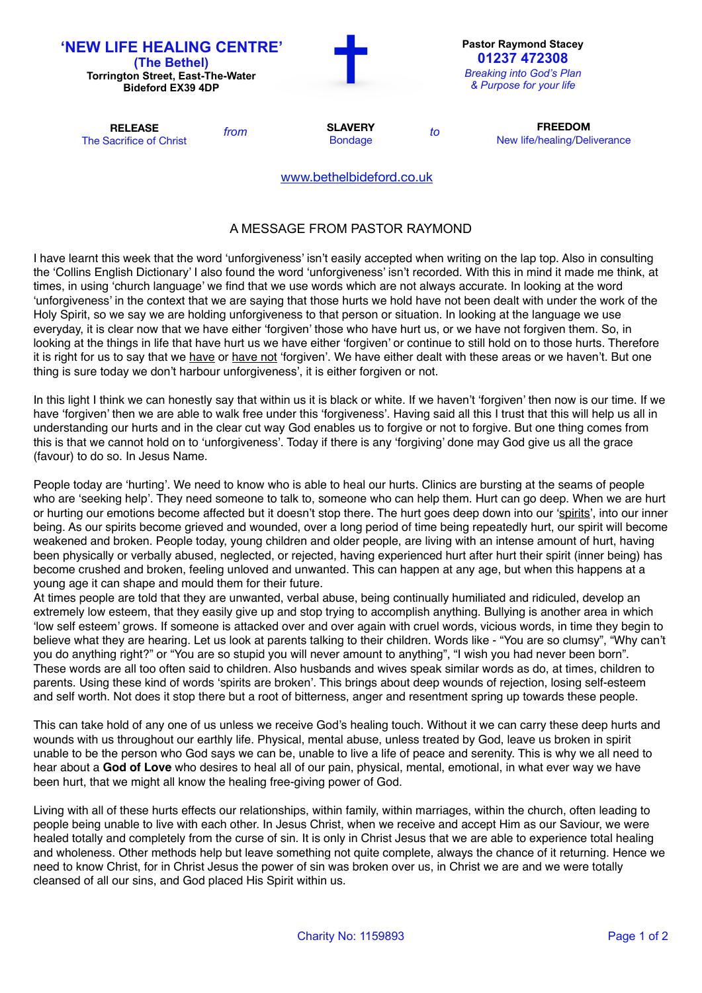

## A MESSAGE FROM PASTOR RAYMOND

I have learnt this week that the word 'unforgiveness' isn't easily accepted when writing on the lap top. Also in consulting the 'Collins English Dictionary' I also found the word 'unforgiveness' isn't recorded. With this in mind it made me think, at times, in using 'church language' we find that we use words which are not always accurate. In looking at the word 'unforgiveness' in the context that we are saying that those hurts we hold have not been dealt with under the work of the Holy Spirit, so we say we are holding unforgiveness to that person or situation. In looking at the language we use everyday, it is clear now that we have either 'forgiven' those who have hurt us, or we have not forgiven them. So, in looking at the things in life that have hurt us we have either 'forgiven' or continue to still hold on to those hurts. Therefore it is right for us to say that we have or have not 'forgiven'. We have either dealt with these areas or we haven't. But one thing is sure today we don't harbour unforgiveness', it is either forgiven or not.

In this light I think we can honestly say that within us it is black or white. If we haven't 'forgiven' then now is our time. If we have 'forgiven' then we are able to walk free under this 'forgiveness'. Having said all this I trust that this will help us all in understanding our hurts and in the clear cut way God enables us to forgive or not to forgive. But one thing comes from this is that we cannot hold on to 'unforgiveness'. Today if there is any 'forgiving' done may God give us all the grace (favour) to do so. In Jesus Name.

People today are 'hurting'. We need to know who is able to heal our hurts. Clinics are bursting at the seams of people who are 'seeking help'. They need someone to talk to, someone who can help them. Hurt can go deep. When we are hurt or hurting our emotions become affected but it doesn't stop there. The hurt goes deep down into our 'spirits', into our inner being. As our spirits become grieved and wounded, over a long period of time being repeatedly hurt, our spirit will become weakened and broken. People today, young children and older people, are living with an intense amount of hurt, having been physically or verbally abused, neglected, or rejected, having experienced hurt after hurt their spirit (inner being) has become crushed and broken, feeling unloved and unwanted. This can happen at any age, but when this happens at a young age it can shape and mould them for their future.

At times people are told that they are unwanted, verbal abuse, being continually humiliated and ridiculed, develop an extremely low esteem, that they easily give up and stop trying to accomplish anything. Bullying is another area in which 'low self esteem' grows. If someone is attacked over and over again with cruel words, vicious words, in time they begin to believe what they are hearing. Let us look at parents talking to their children. Words like - "You are so clumsy", "Why can't you do anything right?" or "You are so stupid you will never amount to anything", "I wish you had never been born". These words are all too often said to children. Also husbands and wives speak similar words as do, at times, children to parents. Using these kind of words 'spirits are broken'. This brings about deep wounds of rejection, losing self-esteem and self worth. Not does it stop there but a root of bitterness, anger and resentment spring up towards these people.

This can take hold of any one of us unless we receive God's healing touch. Without it we can carry these deep hurts and wounds with us throughout our earthly life. Physical, mental abuse, unless treated by God, leave us broken in spirit unable to be the person who God says we can be, unable to live a life of peace and serenity. This is why we all need to hear about a **God of Love** who desires to heal all of our pain, physical, mental, emotional, in what ever way we have been hurt, that we might all know the healing free-giving power of God.

Living with all of these hurts effects our relationships, within family, within marriages, within the church, often leading to people being unable to live with each other. In Jesus Christ, when we receive and accept Him as our Saviour, we were healed totally and completely from the curse of sin. It is only in Christ Jesus that we are able to experience total healing and wholeness. Other methods help but leave something not quite complete, always the chance of it returning. Hence we need to know Christ, for in Christ Jesus the power of sin was broken over us, in Christ we are and we were totally cleansed of all our sins, and God placed His Spirit within us.